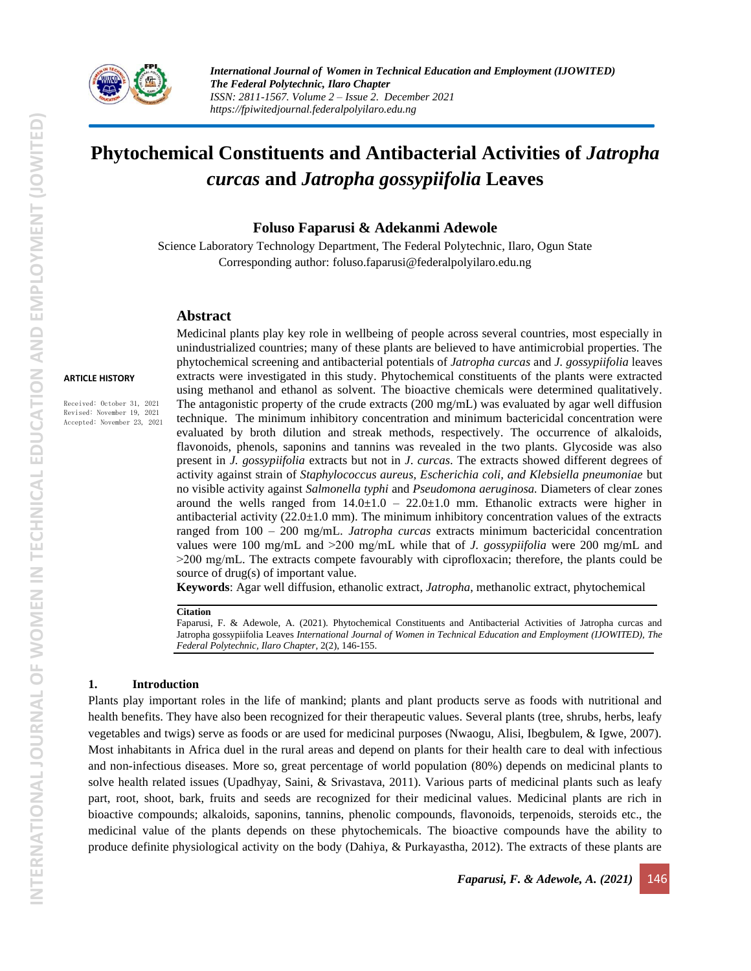

# **Phytochemical Constituents and Antibacterial Activities of** *Jatropha curcas* **and** *Jatropha gossypiifolia* **Leaves**

#### **Foluso Faparusi & Adekanmi Adewole**

Science Laboratory Technology Department, The Federal Polytechnic, Ilaro, Ogun State Corresponding author: [foluso.faparusi@federalpolyilaro.edu.ng](mailto:foluso.faparusi@federalpolyilaro.edu.ng)

#### **Abstract**

#### **ARTICLE HISTORY**

Received: October 31, 2021 Revised: November 19, 2021 Accepted: November 23, 2021

Medicinal plants play key role in wellbeing of people across several countries, most especially in unindustrialized countries; many of these plants are believed to have antimicrobial properties. The phytochemical screening and antibacterial potentials of *Jatropha curcas* and *J. gossypiifolia* leaves extracts were investigated in this study. Phytochemical constituents of the plants were extracted using methanol and ethanol as solvent. The bioactive chemicals were determined qualitatively. The antagonistic property of the crude extracts  $(200 \text{ mg/mL})$  was evaluated by agar well diffusion technique. The minimum inhibitory concentration and minimum bactericidal concentration were evaluated by broth dilution and streak methods, respectively. The occurrence of alkaloids, flavonoids, phenols, saponins and tannins was revealed in the two plants. Glycoside was also present in *J. gossypiifolia* extracts but not in *J*. *curcas*. The extracts showed different degrees of activity against strain of *Staphylococcus aureus, Escherichia coli, and Klebsiella pneumoniae* but no visible activity against *Salmonella typhi* and *Pseudomona aeruginosa.* Diameters of clear zones around the wells ranged from  $14.0 \pm 1.0 - 22.0 \pm 1.0$  mm. Ethanolic extracts were higher in antibacterial activity  $(22.0\pm1.0 \text{ mm})$ . The minimum inhibitory concentration values of the extracts ranged from 100 – 200 mg/mL. *Jatropha curcas* extracts minimum bactericidal concentration values were 100 mg/mL and ˃200 mg/mL while that of *J. gossypiifolia* were 200 mg/mL and  $>200$  mg/mL. The extracts compete favourably with ciprofloxacin; therefore, the plants could be source of drug(s) of important value.

**Keywords**: Agar well diffusion, ethanolic extract, *Jatropha*, methanolic extract, phytochemical

#### **Citation**

Faparusi, F. & Adewole, A. (2021). Phytochemical Constituents and Antibacterial Activities of Jatropha curcas and Jatropha gossypiifolia Leaves *International Journal of Women in Technical Education and Employment (IJOWITED), The Federal Polytechnic, Ilaro Chapter*, 2(2), 146-155.

#### **1. Introduction**

Plants play important roles in the life of mankind; plants and plant products serve as foods with nutritional and health benefits. They have also been recognized for their therapeutic values. Several plants (tree, shrubs, herbs, leafy vegetables and twigs) serve as foods or are used for medicinal purposes (Nwaogu, Alisi, Ibegbulem, & Igwe, 2007). Most inhabitants in Africa duel in the rural areas and depend on plants for their health care to deal with infectious and non-infectious diseases. More so, great percentage of world population (80%) depends on medicinal plants to solve health related issues (Upadhyay, Saini, & Srivastava, 2011). Various parts of medicinal plants such as leafy part, root, shoot, bark, fruits and seeds are recognized for their medicinal values. Medicinal plants are rich in bioactive compounds; alkaloids, saponins, tannins, phenolic compounds, flavonoids, terpenoids, steroids etc., the medicinal value of the plants depends on these phytochemicals. The bioactive compounds have the ability to produce definite physiological activity on the body (Dahiya, & Purkayastha, 2012). The extracts of these plants are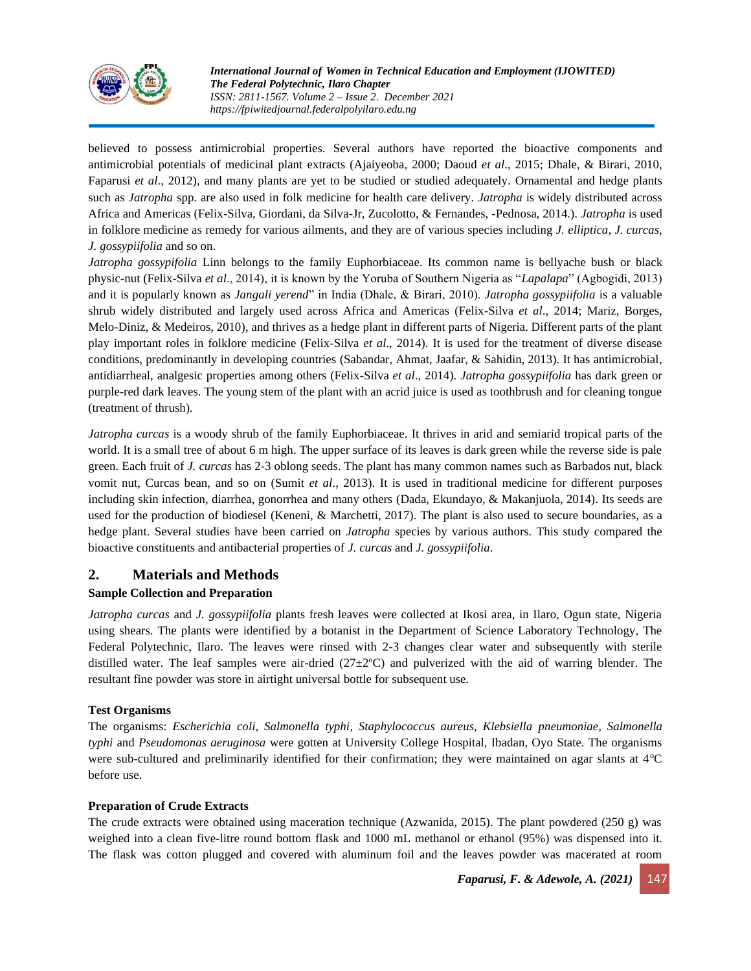

believed to possess antimicrobial properties. Several authors have reported the bioactive components and antimicrobial potentials of medicinal plant extracts (Ajaiyeoba, 2000; Daoud *et al*., 2015; Dhale, & Birari, 2010, Faparusi *et al*., 2012), and many plants are yet to be studied or studied adequately. Ornamental and hedge plants such as *Jatropha* spp. are also used in folk medicine for health care delivery. *Jatropha* is widely distributed across Africa and Americas (Felix-Silva, Giordani, da Silva-Jr, Zucolotto, & Fernandes, -Pednosa, 2014.). *Jatropha* is used in folklore medicine as remedy for various ailments, and they are of various species including *J. elliptica*, *J. curcas*, *J. gossypiifolia* and so on.

*Jatropha gossypifolia* Linn belongs to the family Euphorbiaceae. Its common name is bellyache bush or black physic-nut (Felix-Silva *et al*., 2014), it is known by the Yoruba of Southern Nigeria as "*Lapalapa*" (Agbogidi, 2013) and it is popularly known as *Jangali yerend*" in India (Dhale, & Birari, 2010). *Jatropha gossypiifolia* is a valuable shrub widely distributed and largely used across Africa and Americas (Felix-Silva *et al*., 2014; Mariz, Borges, Melo-Diniz, & Medeiros, 2010), and thrives as a hedge plant in different parts of Nigeria. Different parts of the plant play important roles in folklore medicine (Felix-Silva *et al*., 2014). It is used for the treatment of diverse disease conditions, predominantly in developing countries (Sabandar, Ahmat, Jaafar, & Sahidin, 2013). It has antimicrobial, antidiarrheal, analgesic properties among others (Felix-Silva *et al*., 2014). *Jatropha gossypiifolia* has dark green or purple-red dark leaves. The young stem of the plant with an acrid juice is used as toothbrush and for cleaning tongue (treatment of thrush).

*Jatropha curcas* is a woody shrub of the family Euphorbiaceae. It thrives in arid and semiarid tropical parts of the world. It is a small tree of about 6 m high. The upper surface of its leaves is dark green while the reverse side is pale green. Each fruit of *J. curcas* has 2-3 oblong seeds. The plant has many common names such as Barbados nut, black vomit nut, Curcas bean, and so on (Sumit *et al*., 2013). It is used in traditional medicine for different purposes including skin infection, diarrhea, gonorrhea and many others (Dada, Ekundayo, & Makanjuola, 2014). Its seeds are used for the production of biodiesel (Keneni, & Marchetti, 2017). The plant is also used to secure boundaries, as a hedge plant. Several studies have been carried on *Jatropha* species by various authors. This study compared the bioactive constituents and antibacterial properties of *J. curcas* and *J. gossypiifolia*.

# **2. Materials and Methods**

# **Sample Collection and Preparation**

*Jatropha curcas* and *J. gossypiifolia* plants fresh leaves were collected at Ikosi area, in Ilaro, Ogun state, Nigeria using shears. The plants were identified by a botanist in the Department of Science Laboratory Technology, The Federal Polytechnic, Ilaro. The leaves were rinsed with 2-3 changes clear water and subsequently with sterile distilled water. The leaf samples were air-dried  $(27\pm2^{\circ}\text{C})$  and pulverized with the aid of warring blender. The resultant fine powder was store in airtight universal bottle for subsequent use.

#### **Test Organisms**

The organisms: *Escherichia coli, Salmonella typhi, Staphylococcus aureus, Klebsiella pneumoniae, Salmonella typhi* and *Pseudomonas aeruginosa* were gotten at University College Hospital, Ibadan, Oyo State. The organisms were sub-cultured and preliminarily identified for their confirmation; they were maintained on agar slants at  $4^{\circ}C$ before use.

#### **Preparation of Crude Extracts**

The crude extracts were obtained using maceration technique (Azwanida, 2015). The plant powdered (250 g) was weighed into a clean five-litre round bottom flask and 1000 mL methanol or ethanol (95%) was dispensed into it. The flask was cotton plugged and covered with aluminum foil and the leaves powder was macerated at room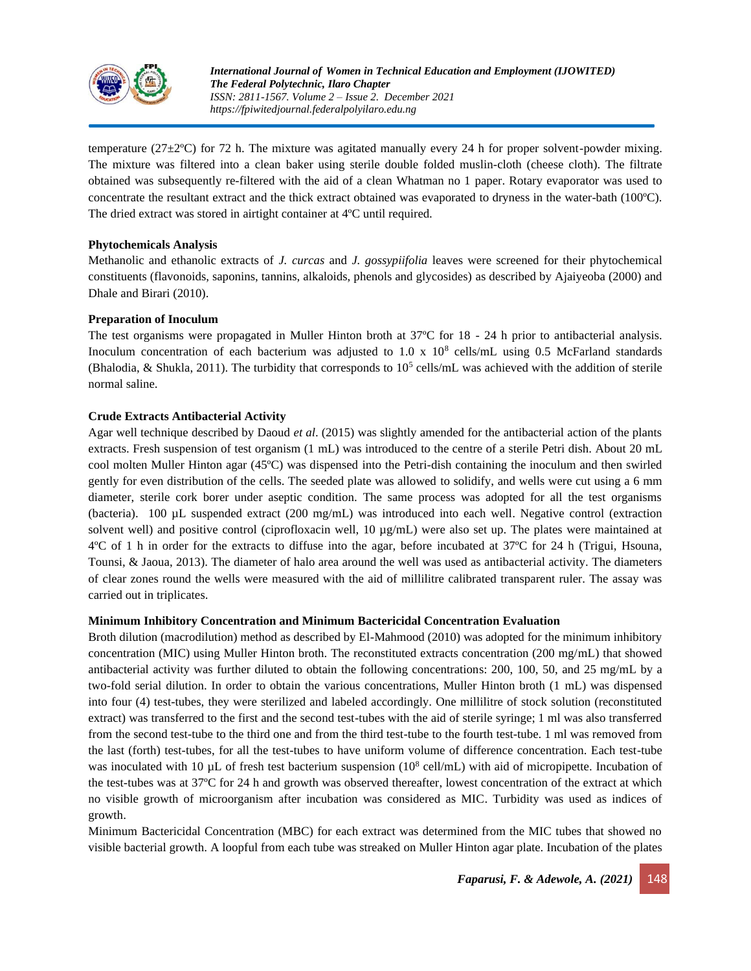

temperature ( $27\pm2$ °C) for 72 h. The mixture was agitated manually every 24 h for proper solvent-powder mixing. The mixture was filtered into a clean baker using sterile double folded muslin-cloth (cheese cloth). The filtrate obtained was subsequently re-filtered with the aid of a clean Whatman no 1 paper. Rotary evaporator was used to concentrate the resultant extract and the thick extract obtained was evaporated to dryness in the water-bath (100ºC). The dried extract was stored in airtight container at 4ºC until required.

#### **Phytochemicals Analysis**

Methanolic and ethanolic extracts of *J. curcas* and *J. gossypiifolia* leaves were screened for their phytochemical constituents (flavonoids, saponins, tannins, alkaloids, phenols and glycosides) as described by Ajaiyeoba (2000) and Dhale and Birari (2010).

#### **Preparation of Inoculum**

The test organisms were propagated in Muller Hinton broth at 37ºC for 18 - 24 h prior to antibacterial analysis. Inoculum concentration of each bacterium was adjusted to  $1.0 \times 10^8$  cells/mL using 0.5 McFarland standards (Bhalodia, & Shukla, 2011). The turbidity that corresponds to  $10^5$  cells/mL was achieved with the addition of sterile normal saline.

#### **Crude Extracts Antibacterial Activity**

Agar well technique described by Daoud *et al*. (2015) was slightly amended for the antibacterial action of the plants extracts. Fresh suspension of test organism (1 mL) was introduced to the centre of a sterile Petri dish. About 20 mL cool molten Muller Hinton agar (45ºC) was dispensed into the Petri-dish containing the inoculum and then swirled gently for even distribution of the cells. The seeded plate was allowed to solidify, and wells were cut using a 6 mm diameter, sterile cork borer under aseptic condition. The same process was adopted for all the test organisms (bacteria). 100 µL suspended extract (200 mg/mL) was introduced into each well. Negative control (extraction solvent well) and positive control (ciprofloxacin well, 10  $\mu$ g/mL) were also set up. The plates were maintained at 4ºC of 1 h in order for the extracts to diffuse into the agar, before incubated at 37ºC for 24 h (Trigui, Hsouna, Tounsi, & Jaoua, 2013). The diameter of halo area around the well was used as antibacterial activity. The diameters of clear zones round the wells were measured with the aid of millilitre calibrated transparent ruler. The assay was carried out in triplicates.

#### **Minimum Inhibitory Concentration and Minimum Bactericidal Concentration Evaluation**

Broth dilution (macrodilution) method as described by El-Mahmood (2010) was adopted for the minimum inhibitory concentration (MIC) using Muller Hinton broth. The reconstituted extracts concentration (200 mg/mL) that showed antibacterial activity was further diluted to obtain the following concentrations: 200, 100, 50, and 25 mg/mL by a two-fold serial dilution. In order to obtain the various concentrations, Muller Hinton broth (1 mL) was dispensed into four (4) test-tubes, they were sterilized and labeled accordingly. One millilitre of stock solution (reconstituted extract) was transferred to the first and the second test-tubes with the aid of sterile syringe; 1 ml was also transferred from the second test-tube to the third one and from the third test-tube to the fourth test-tube. 1 ml was removed from the last (forth) test-tubes, for all the test-tubes to have uniform volume of difference concentration. Each test-tube was inoculated with 10  $\mu$ L of fresh test bacterium suspension (10<sup>8</sup> cell/mL) with aid of micropipette. Incubation of the test-tubes was at 37ºC for 24 h and growth was observed thereafter, lowest concentration of the extract at which no visible growth of microorganism after incubation was considered as MIC. Turbidity was used as indices of growth.

Minimum Bactericidal Concentration (MBC) for each extract was determined from the MIC tubes that showed no visible bacterial growth. A loopful from each tube was streaked on Muller Hinton agar plate. Incubation of the plates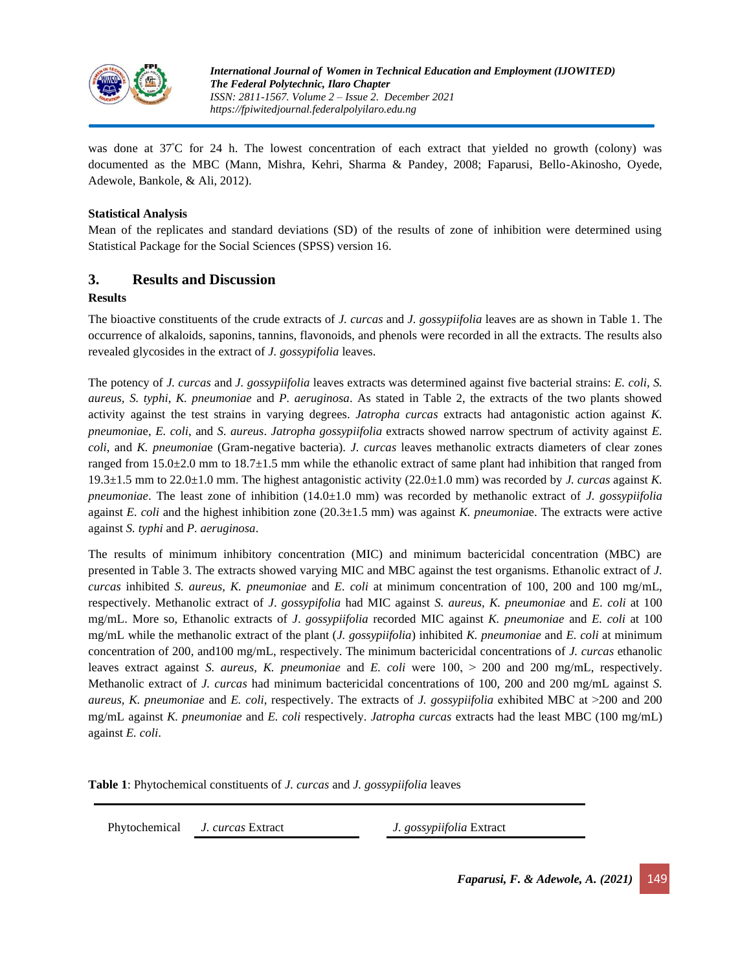

was done at 37°C for 24 h. The lowest concentration of each extract that yielded no growth (colony) was documented as the MBC (Mann, Mishra, Kehri, Sharma & Pandey, 2008; Faparusi, Bello-Akinosho, Oyede, Adewole, Bankole, & Ali, 2012).

#### **Statistical Analysis**

Mean of the replicates and standard deviations (SD) of the results of zone of inhibition were determined using Statistical Package for the Social Sciences (SPSS) version 16.

# **3. Results and Discussion**

#### **Results**

The bioactive constituents of the crude extracts of *J. curcas* and *J. gossypiifolia* leaves are as shown in Table 1. The occurrence of alkaloids, saponins, tannins, flavonoids, and phenols were recorded in all the extracts. The results also revealed glycosides in the extract of *J. gossypifolia* leaves.

The potency of *J. curcas* and *J. gossypiifolia* leaves extracts was determined against five bacterial strains: *E. coli, S. aureus, S. typhi*, *K. pneumoniae* and *P. aeruginosa*. As stated in Table 2, the extracts of the two plants showed activity against the test strains in varying degrees. *Jatropha curcas* extracts had antagonistic action against *K. pneumonia*e, *E. coli*, and *S. aureus*. *Jatropha gossypiifolia* extracts showed narrow spectrum of activity against *E. coli*, and *K. pneumonia*e (Gram-negative bacteria). *J. curcas* leaves methanolic extracts diameters of clear zones ranged from 15.0±2.0 mm to 18.7±1.5 mm while the ethanolic extract of same plant had inhibition that ranged from 19.3±1.5 mm to 22.0±1.0 mm. The highest antagonistic activity (22.0±1.0 mm) was recorded by *J. curcas* against *K. pneumoniae*. The least zone of inhibition (14.0±1.0 mm) was recorded by methanolic extract of *J. gossypiifolia* against *E. coli* and the highest inhibition zone (20.3±1.5 mm) was against *K. pneumonia*e. The extracts were active against *S. typhi* and *P. aeruginosa*.

The results of minimum inhibitory concentration (MIC) and minimum bactericidal concentration (MBC) are presented in Table 3. The extracts showed varying MIC and MBC against the test organisms. Ethanolic extract of *J. curcas* inhibited *S. aureus, K. pneumoniae* and *E. coli* at minimum concentration of 100, 200 and 100 mg/mL, respectively. Methanolic extract of *J*. *gossypifolia* had MIC against *S. aureus, K. pneumoniae* and *E. coli* at 100 mg/mL. More so, Ethanolic extracts of *J*. *gossypiifolia* recorded MIC against *K. pneumoniae* and *E. coli* at 100 mg/mL while the methanolic extract of the plant (*J. gossypiifolia*) inhibited *K. pneumoniae* and *E. coli* at minimum concentration of 200, and100 mg/mL, respectively. The minimum bactericidal concentrations of *J. curcas* ethanolic leaves extract against *S. aureus, K. pneumoniae* and *E. coli* were 100, ˃ 200 and 200 mg/mL, respectively. Methanolic extract of *J. curcas* had minimum bactericidal concentrations of 100, 200 and 200 mg/mL against *S. aureus, K. pneumoniae* and *E. coli*, respectively. The extracts of *J. gossypiifolia* exhibited MBC at ˃200 and 200 mg/mL against *K. pneumoniae* and *E. coli* respectively. *Jatropha curcas* extracts had the least MBC (100 mg/mL) against *E. coli*.

**Table 1**: Phytochemical constituents of *J. curcas* and *J. gossypiifolia* leaves

Phytochemical *J. curcas* Extract *J. gossypiifolia* Extract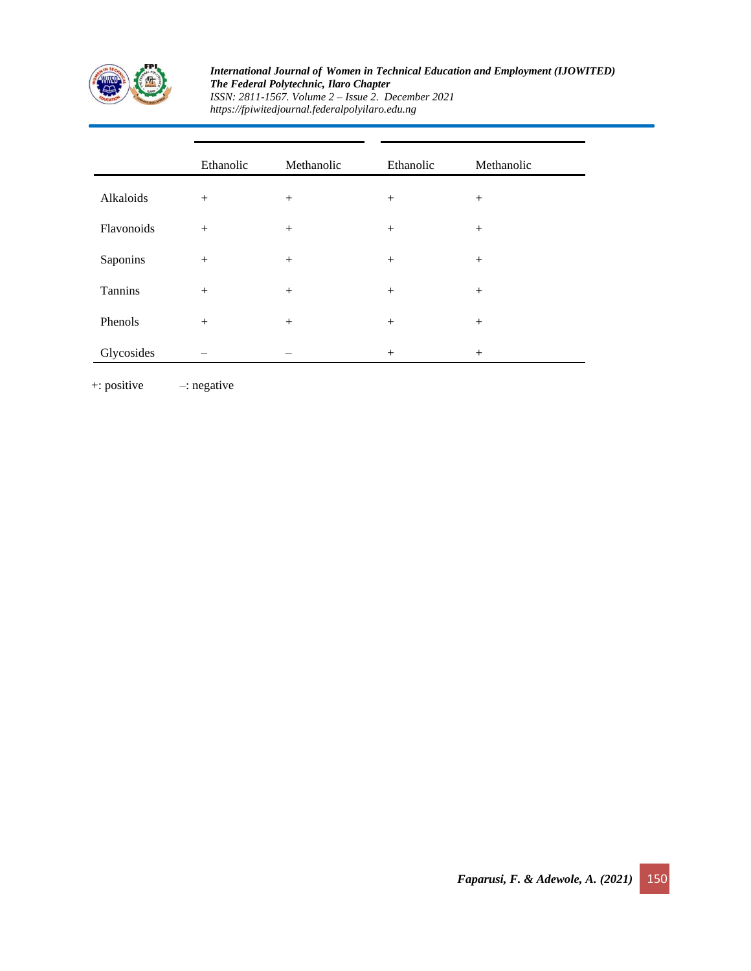

#### *International Journal of Women in Technical Education and Employment (IJOWITED) The Federal Polytechnic, Ilaro Chapter ISSN: 2811-1567. Volume 2 – Issue 2. December 2021*

*https://fpiwitedjournal.federalpolyilaro.edu.ng*

|            | Ethanolic | Methanolic | Ethanolic | Methanolic |
|------------|-----------|------------|-----------|------------|
| Alkaloids  | $^{+}$    | $+$        | $^{+}$    | $+$        |
| Flavonoids | $^{+}$    | $^{+}$     | $^{+}$    | $^{+}$     |
| Saponins   |           | $+$        | $^{+}$    | $^{+}$     |
| Tannins    | $+$       | $+$        | $^{+}$    | $^{+}$     |
| Phenols    |           | $^{+}$     | $^{+}$    | $^{+}$     |
| Glycosides |           |            | $+$       | $^{+}$     |

+: positive –: negative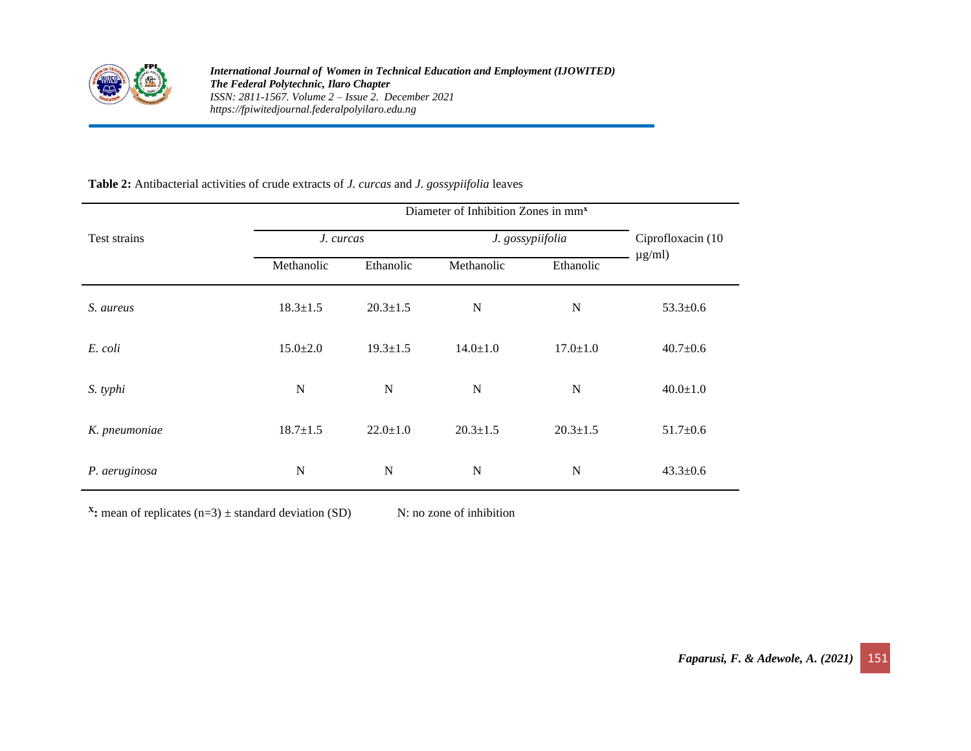

# **Table 2:** Antibacterial activities of crude extracts of *J. curcas* and *J. gossypiifolia* leaves

| Test strains  | J. curcas      |                | J. gossypiifolia | Ciprofloxacin (10 |                |
|---------------|----------------|----------------|------------------|-------------------|----------------|
|               | Methanolic     | Ethanolic      | Methanolic       | Ethanolic         | $\mu$ g/ml)    |
| S. aureus     | $18.3 \pm 1.5$ | $20.3 \pm 1.5$ | $\mathbf N$      | $\mathbf N$       | $53.3 \pm 0.6$ |
| E. coli       | $15.0 \pm 2.0$ | $19.3 \pm 1.5$ | $14.0 \pm 1.0$   | $17.0 \pm 1.0$    | $40.7 \pm 0.6$ |
| S. typhi      | $\mathbf N$    | N              | $\mathbf N$      | $\mathbf N$       | $40.0 \pm 1.0$ |
| K. pneumoniae | $18.7 \pm 1.5$ | $22.0 \pm 1.0$ | $20.3 \pm 1.5$   | $20.3 \pm 1.5$    | $51.7 \pm 0.6$ |
| P. aeruginosa | $\mathbf N$    | N              | $\mathbf N$      | $\mathbf N$       | $43.3 \pm 0.6$ |

**X:** mean of replicates  $(n=3) \pm$  standard deviation (SD) N: no zone of inhibition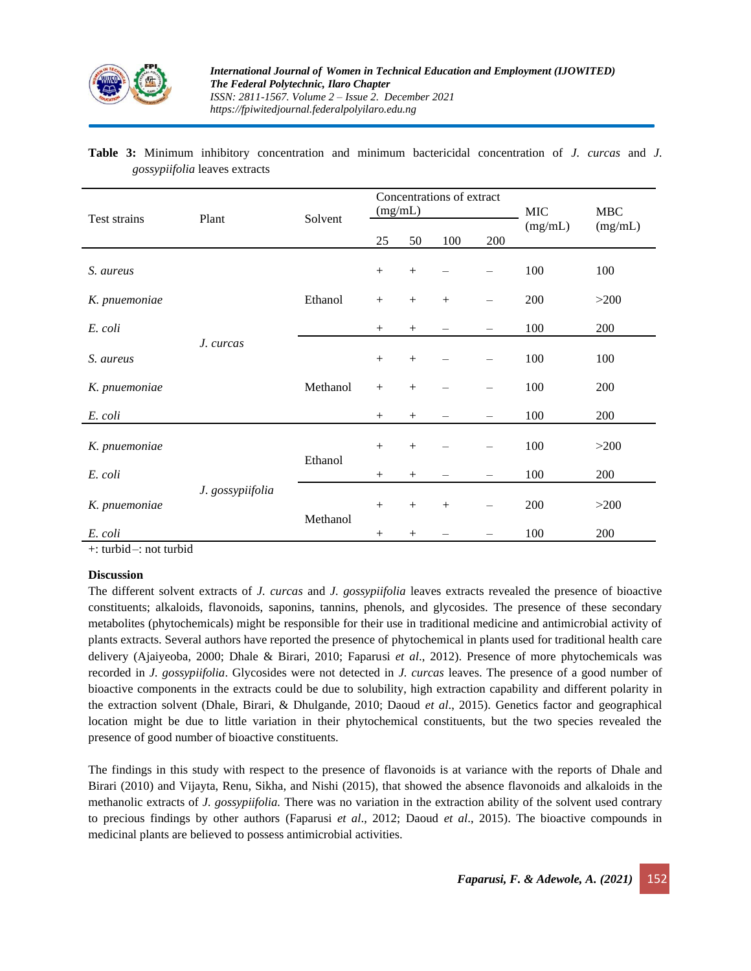

# **Table 3:** Minimum inhibitory concentration and minimum bactericidal concentration of *J. curcas* and *J. gossypiifolia* leaves extracts

| Test strains  | Plant            | Solvent  | Concentrations of extract<br>(mg/mL) |        |     |                          | MIC     | <b>MBC</b> |
|---------------|------------------|----------|--------------------------------------|--------|-----|--------------------------|---------|------------|
|               |                  |          | 25                                   | 50     | 100 | 200                      | (mg/mL) | (mg/mL)    |
| S. aureus     | J. curcas        | Ethanol  | $^{+}$                               | $+$    |     |                          | 100     | 100        |
| K. pnuemoniae |                  |          | $+$                                  | $+$    | $+$ |                          | 200     | >200       |
| E. coli       |                  |          | $^{+}$                               | $^{+}$ |     |                          | 100     | 200        |
| S. aureus     |                  | Methanol |                                      | $^{+}$ |     |                          | 100     | 100        |
| K. pnuemoniae |                  |          | $+$                                  | $+$    |     |                          | 100     | 200        |
| E. coli       |                  |          | $^{+}$                               | $^{+}$ |     | $\overline{\phantom{0}}$ | 100     | 200        |
| K. pnuemoniae | J. gossypiifolia | Ethanol  | $+$                                  | $+$    |     |                          | 100     | >200       |
| E. coli       |                  |          | $^{+}$                               | $^{+}$ |     |                          | 100     | 200        |
| K. pnuemoniae |                  | Methanol | $+$                                  | $+$    | $+$ |                          | 200     | >200       |
| E. coli       |                  |          | $+$                                  | $^{+}$ |     |                          | 100     | 200        |

+: turbid–: not turbid

#### **Discussion**

The different solvent extracts of *J. curcas* and *J. gossypiifolia* leaves extracts revealed the presence of bioactive constituents; alkaloids, flavonoids, saponins, tannins, phenols, and glycosides. The presence of these secondary metabolites (phytochemicals) might be responsible for their use in traditional medicine and antimicrobial activity of plants extracts. Several authors have reported the presence of phytochemical in plants used for traditional health care delivery (Ajaiyeoba, 2000; Dhale & Birari, 2010; Faparusi *et al*., 2012). Presence of more phytochemicals was recorded in *J. gossypiifolia*. Glycosides were not detected in *J. curcas* leaves. The presence of a good number of bioactive components in the extracts could be due to solubility, high extraction capability and different polarity in the extraction solvent (Dhale, Birari, & Dhulgande, 2010; Daoud *et al*., 2015). Genetics factor and geographical location might be due to little variation in their phytochemical constituents, but the two species revealed the presence of good number of bioactive constituents.

The findings in this study with respect to the presence of flavonoids is at variance with the reports of Dhale and Birari (2010) and Vijayta, Renu, Sikha, and Nishi (2015), that showed the absence flavonoids and alkaloids in the methanolic extracts of *J. gossypiifolia.* There was no variation in the extraction ability of the solvent used contrary to precious findings by other authors (Faparusi *et al*., 2012; Daoud *et al*., 2015). The bioactive compounds in medicinal plants are believed to possess antimicrobial activities.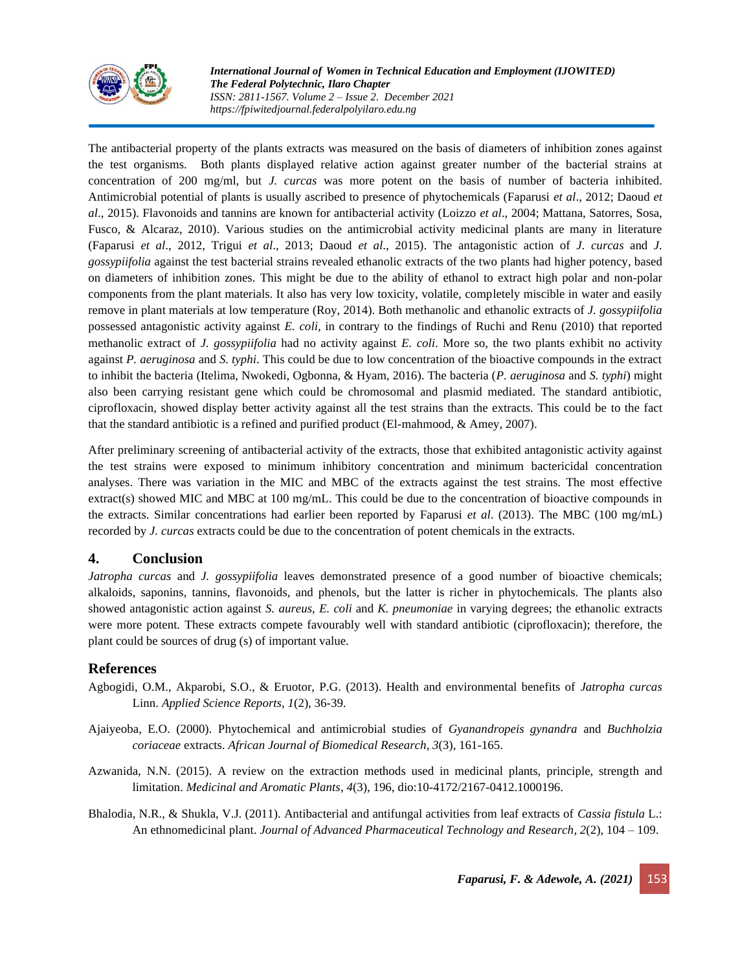

The antibacterial property of the plants extracts was measured on the basis of diameters of inhibition zones against the test organisms. Both plants displayed relative action against greater number of the bacterial strains at concentration of 200 mg/ml, but *J. curcas* was more potent on the basis of number of bacteria inhibited. Antimicrobial potential of plants is usually ascribed to presence of phytochemicals (Faparusi *et al*., 2012; Daoud *et al*., 2015). Flavonoids and tannins are known for antibacterial activity (Loizzo *et al*., 2004; Mattana, Satorres, Sosa, Fusco, & Alcaraz, 2010). Various studies on the antimicrobial activity medicinal plants are many in literature (Faparusi *et al*., 2012, Trigui *et al*., 2013; Daoud *et al*., 2015). The antagonistic action of *J. curcas* and *J. gossypiifolia* against the test bacterial strains revealed ethanolic extracts of the two plants had higher potency, based on diameters of inhibition zones. This might be due to the ability of ethanol to extract high polar and non-polar components from the plant materials. It also has very low toxicity, volatile, completely miscible in water and easily remove in plant materials at low temperature (Roy, 2014). Both methanolic and ethanolic extracts of *J. gossypiifolia* possessed antagonistic activity against *E. coli,* in contrary to the findings of Ruchi and Renu (2010) that reported methanolic extract of *J. gossypiifolia* had no activity against *E. coli*. More so, the two plants exhibit no activity against *P. aeruginosa* and *S. typhi*. This could be due to low concentration of the bioactive compounds in the extract to inhibit the bacteria (Itelima, Nwokedi, Ogbonna, & Hyam, 2016). The bacteria (*P. aeruginosa* and *S. typhi*) might also been carrying resistant gene which could be chromosomal and plasmid mediated. The standard antibiotic, ciprofloxacin, showed display better activity against all the test strains than the extracts. This could be to the fact that the standard antibiotic is a refined and purified product (El-mahmood, & Amey, 2007).

After preliminary screening of antibacterial activity of the extracts, those that exhibited antagonistic activity against the test strains were exposed to minimum inhibitory concentration and minimum bactericidal concentration analyses. There was variation in the MIC and MBC of the extracts against the test strains. The most effective extract(s) showed MIC and MBC at 100 mg/mL. This could be due to the concentration of bioactive compounds in the extracts. Similar concentrations had earlier been reported by Faparusi *et al*. (2013). The MBC (100 mg/mL) recorded by *J. curcas* extracts could be due to the concentration of potent chemicals in the extracts.

# **4. Conclusion**

*Jatropha curcas* and *J. gossypiifolia* leaves demonstrated presence of a good number of bioactive chemicals; alkaloids, saponins, tannins, flavonoids, and phenols, but the latter is richer in phytochemicals. The plants also showed antagonistic action against *S. aureus*, *E. coli* and *K. pneumoniae* in varying degrees; the ethanolic extracts were more potent*.* These extracts compete favourably well with standard antibiotic (ciprofloxacin); therefore, the plant could be sources of drug (s) of important value.

# **References**

- Agbogidi, O.M., Akparobi, S.O., & Eruotor, P.G. (2013). Health and environmental benefits of *Jatropha curcas* Linn. *Applied Science Reports*, *1*(2), 36-39.
- Ajaiyeoba, E.O. (2000). Phytochemical and antimicrobial studies of *Gyanandropeis gynandra* and *Buchholzia coriaceae* extracts. *African Journal of Biomedical Research*, *3*(3), 161-165.
- Azwanida, N.N. (2015). A review on the extraction methods used in medicinal plants, principle, strength and limitation. *Medicinal and Aromatic Plants*, *4*(3), 196, dio:10-4172/2167-0412.1000196.
- Bhalodia, N.R., & Shukla, V.J. (2011). Antibacterial and antifungal activities from leaf extracts of *Cassia fistula* L.: An ethnomedicinal plant. *Journal of Advanced Pharmaceutical Technology and Research*, *2*(2), 104 – 109.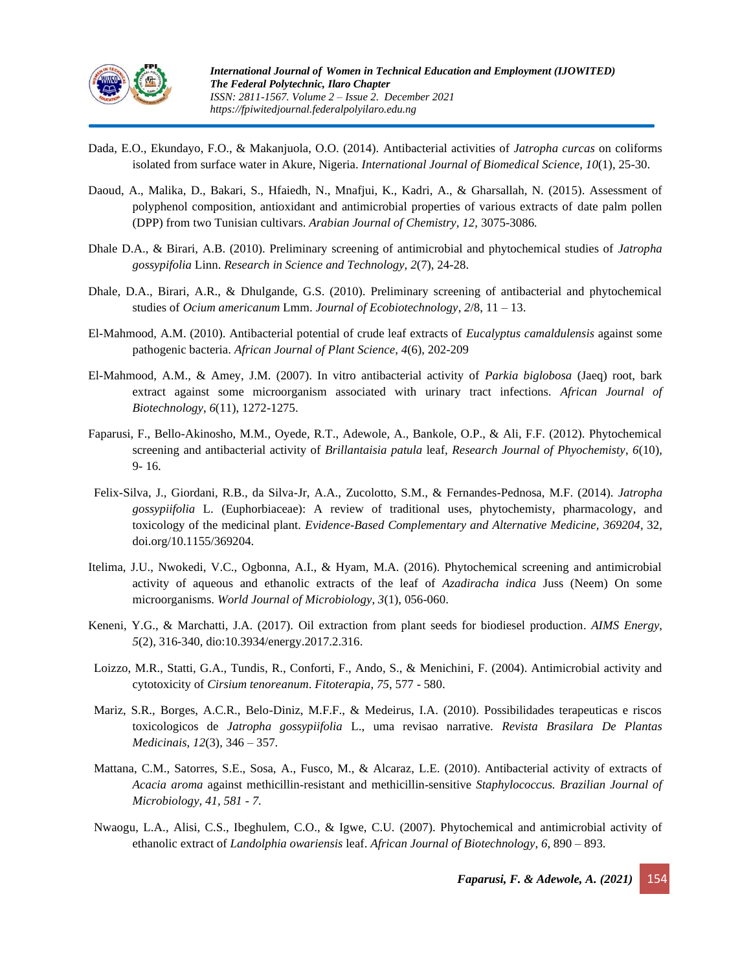

- Dada, E.O., Ekundayo, F.O., & Makanjuola, O.O. (2014). Antibacterial activities of *Jatropha curcas* on coliforms isolated from surface water in Akure, Nigeria. *International Journal of Biomedical Science, 10*(1), 25-30.
- Daoud, A., Malika, D., Bakari, S., Hfaiedh, N., Mnafjui, K., Kadri, A., & Gharsallah, N. (2015). Assessment of polyphenol composition, antioxidant and antimicrobial properties of various extracts of date palm pollen (DPP) from two Tunisian cultivars. *Arabian Journal of Chemistry, 12,* 3075-3086*.*
- Dhale D.A., & Birari, A.B. (2010). Preliminary screening of antimicrobial and phytochemical studies of *Jatropha gossypifolia* Linn. *Research in Science and Technology, 2*(7), 24-28.
- Dhale, D.A., Birari, A.R., & Dhulgande, G.S. (2010). Preliminary screening of antibacterial and phytochemical studies of *Ocium americanum* Lmm. *Journal of Ecobiotechnology*, *2*/8, 11 – 13.
- El-Mahmood, A.M. (2010). Antibacterial potential of crude leaf extracts of *Eucalyptus camaldulensis* against some pathogenic bacteria. *African Journal of Plant Science*, *4*(6), 202-209
- El-Mahmood, A.M., & Amey, J.M. (2007). In vitro antibacterial activity of *Parkia biglobosa* (Jaeq) root, bark extract against some microorganism associated with urinary tract infections. *African Journal of Biotechnology*, *6*(11), 1272-1275.
- Faparusi, F., Bello-Akinosho, M.M., Oyede, R.T., Adewole, A., Bankole, O.P., & Ali, F.F. (2012). Phytochemical screening and antibacterial activity of *Brillantaisia patula* leaf, *Research Journal of Phyochemisty*, *6*(10), 9- 16.
- Felix-Silva, J., Giordani, R.B., da Silva-Jr, A.A., Zucolotto, S.M., & Fernandes-Pednosa, M.F. (2014). *Jatropha gossypiifolia* L. (Euphorbiaceae): A review of traditional uses, phytochemisty, pharmacology, and toxicology of the medicinal plant. *Evidence-Based Complementary and Alternative Medicine, 369204*, 32, doi.org/10.1155/369204.
- Itelima, J.U., Nwokedi, V.C., Ogbonna, A.I., & Hyam, M.A. (2016). Phytochemical screening and antimicrobial activity of aqueous and ethanolic extracts of the leaf of *Azadiracha indica* Juss (Neem) On some microorganisms. *World Journal of Microbiology*, *3*(1), 056-060.
- Keneni, Y.G., & Marchatti, J.A. (2017). Oil extraction from plant seeds for biodiesel production. *AIMS Energy*, *5*(2), 316-340, dio:10.3934/energy.2017.2.316.
- Loizzo, M.R., Statti, G.A., Tundis, R., Conforti, F., Ando, S., & Menichini, F. (2004). Antimicrobial activity and cytotoxicity of *Cirsium tenoreanum*. *Fitoterapia*, *75*, 577 - 580.
- Mariz, S.R., Borges, A.C.R., Belo-Diniz, M.F.F., & Medeirus, I.A. (2010). Possibilidades terapeuticas e riscos toxicologicos de *Jatropha gossypiifolia* L., uma revisao narrative. *Revista Brasilara De Plantas Medicinais*, *12*(3), 346 – 357.
- Mattana, C.M., Satorres, S.E., Sosa, A., Fusco, M., & Alcaraz, L.E. (2010). Antibacterial activity of extracts of *Acacia aroma* against methicillin‑resistant and methicillin‑sensitive *Staphylococcus. Brazilian Journal of Microbiology, 41, 581 - 7.*
- Nwaogu, L.A., Alisi, C.S., Ibeghulem, C.O., & Igwe, C.U. (2007). Phytochemical and antimicrobial activity of ethanolic extract of *Landolphia owariensis* leaf. *African Journal of Biotechnology*, *6*, 890 – 893.